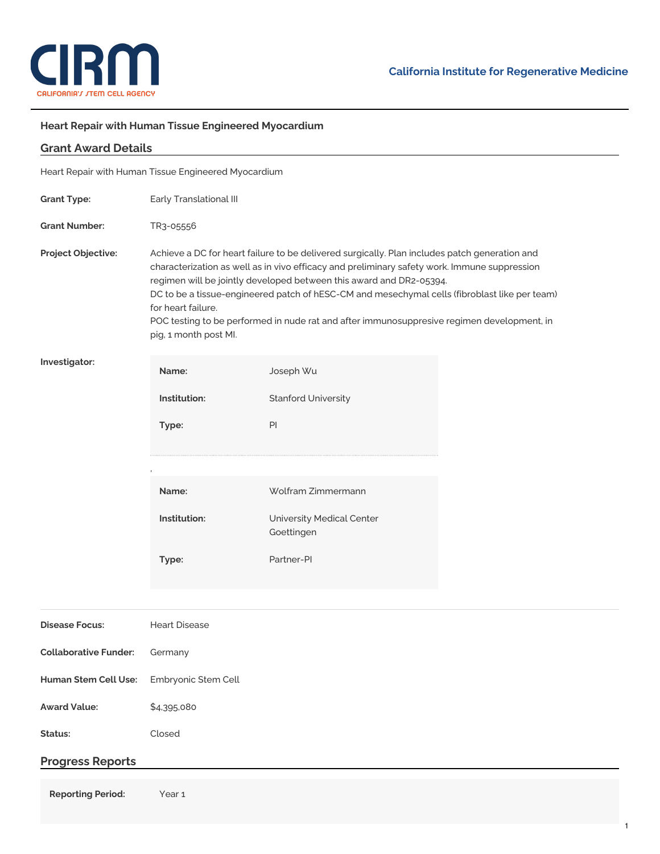

## **Heart Repair with Human Tissue Engineered Myocardium**

| <b>Grant Award Details</b>                           |                                                                                                                                                                                                                                                                                                                                                                                                                                                                                                                    |                                         |  |  |
|------------------------------------------------------|--------------------------------------------------------------------------------------------------------------------------------------------------------------------------------------------------------------------------------------------------------------------------------------------------------------------------------------------------------------------------------------------------------------------------------------------------------------------------------------------------------------------|-----------------------------------------|--|--|
| Heart Repair with Human Tissue Engineered Myocardium |                                                                                                                                                                                                                                                                                                                                                                                                                                                                                                                    |                                         |  |  |
| <b>Grant Type:</b>                                   | Early Translational III                                                                                                                                                                                                                                                                                                                                                                                                                                                                                            |                                         |  |  |
| <b>Grant Number:</b>                                 | TR3-05556                                                                                                                                                                                                                                                                                                                                                                                                                                                                                                          |                                         |  |  |
| Project Objective:                                   | Achieve a DC for heart failure to be delivered surgically. Plan includes patch generation and<br>characterization as well as in vivo efficacy and preliminary safety work. Immune suppression<br>regimen will be jointly developed between this award and DR2-05394.<br>DC to be a tissue-engineered patch of hESC-CM and mesechymal cells (fibroblast like per team)<br>for heart failure.<br>POC testing to be performed in nude rat and after immunosuppresive regimen development, in<br>pig, 1 month post MI. |                                         |  |  |
| Investigator:                                        | Name:                                                                                                                                                                                                                                                                                                                                                                                                                                                                                                              | Joseph Wu                               |  |  |
|                                                      | Institution:                                                                                                                                                                                                                                                                                                                                                                                                                                                                                                       | <b>Stanford University</b>              |  |  |
|                                                      | Type:                                                                                                                                                                                                                                                                                                                                                                                                                                                                                                              | $\mathsf{Pl}$                           |  |  |
|                                                      |                                                                                                                                                                                                                                                                                                                                                                                                                                                                                                                    |                                         |  |  |
|                                                      | Name:                                                                                                                                                                                                                                                                                                                                                                                                                                                                                                              | Wolfram Zimmermann                      |  |  |
|                                                      | Institution:                                                                                                                                                                                                                                                                                                                                                                                                                                                                                                       | University Medical Center<br>Goettingen |  |  |
|                                                      | Type:                                                                                                                                                                                                                                                                                                                                                                                                                                                                                                              | Partner-PI                              |  |  |
|                                                      |                                                                                                                                                                                                                                                                                                                                                                                                                                                                                                                    |                                         |  |  |
| <b>Disease Focus:</b>                                | <b>Heart Disease</b>                                                                                                                                                                                                                                                                                                                                                                                                                                                                                               |                                         |  |  |
| <b>Collaborative Funder:</b>                         | Germany                                                                                                                                                                                                                                                                                                                                                                                                                                                                                                            |                                         |  |  |
| Human Stem Cell Use:                                 | Embryonic Stem Cell                                                                                                                                                                                                                                                                                                                                                                                                                                                                                                |                                         |  |  |
| <b>Award Value:</b>                                  | \$4,395,080                                                                                                                                                                                                                                                                                                                                                                                                                                                                                                        |                                         |  |  |
| Status:                                              | Closed                                                                                                                                                                                                                                                                                                                                                                                                                                                                                                             |                                         |  |  |
| <b>Progress Reports</b>                              |                                                                                                                                                                                                                                                                                                                                                                                                                                                                                                                    |                                         |  |  |
| <b>Reporting Period:</b>                             | Year 1                                                                                                                                                                                                                                                                                                                                                                                                                                                                                                             |                                         |  |  |